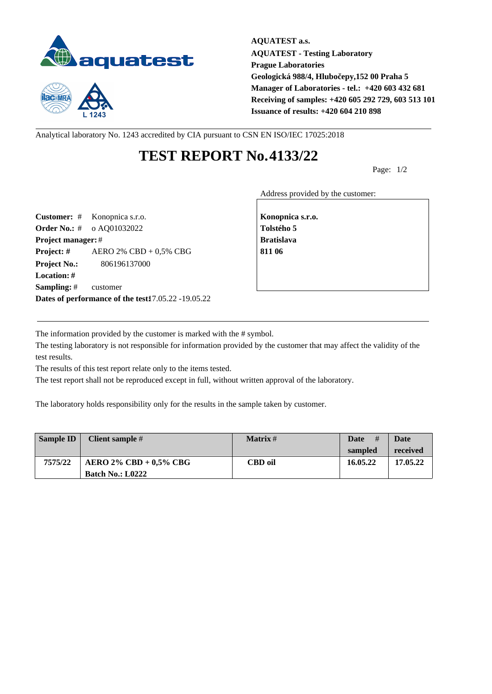



**AQUATEST a.s. AQUATEST - Testing Laboratory Prague Laboratories Geologická 988/4, Hlubočepy,152 00 Praha 5 Manager of Laboratories - tel.: +420 603 432 681 Receiving of samples: +420 605 292 729, 603 513 101 Issuance of results: +420 604 210 898**

Analytical laboratory No. 1243 accredited by CIA pursuant to CSN EN ISO/IEC 17025:2018

## **TEST REPORT No.4133/22**

Page: 1/2

Address provided by the customer:

**Customer:** # Konopnica s.r.o. **Konopnica s.r.o. Konopnica s.r.o. Order No.:** # o AQ01032022 **Tolstého 5 Project manager:** # **Bratislava Project: #** AERO 2% CBD + 0,5% CBG **811 06 Project No.:** 806196137000 **Location: # Sampling:** # customer **Dates of performance of the test:**17.05.22 -19.05.22

The information provided by the customer is marked with the # symbol.

The testing laboratory is not responsible for information provided by the customer that may affect the validity of the test results.

The results of this test report relate only to the items tested.

The test report shall not be reproduced except in full, without written approval of the laboratory.

The laboratory holds responsibility only for the results in the sample taken by customer.

| <b>Sample ID</b> | Client sample #           | Matrix # | #<br>Date | Date     |
|------------------|---------------------------|----------|-----------|----------|
|                  |                           |          | sampled   | received |
| 7575/22          | AERO 2% CBD + $0.5\%$ CBG | CBD oil  | 16.05.22  | 17.05.22 |
|                  | <b>Batch No.: L0222</b>   |          |           |          |